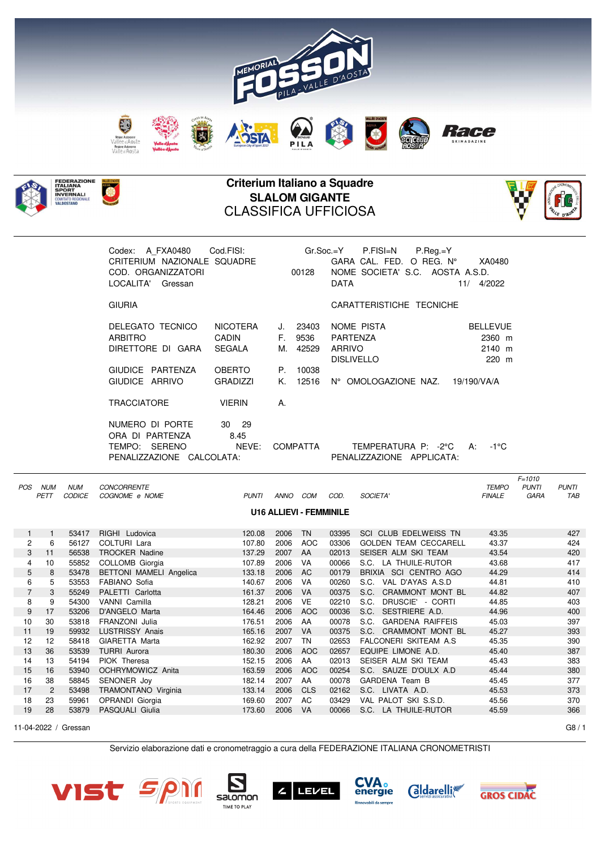



## **Criterium Italiano a Squadre SLALOM GIGANTE** CLASSIFICA UFFICIOSA



|                |                 |                             | Codex: A_FXA0480    Cod.FISI:    Gr.Soc.=Y    P.FISI=N    P.Reg.=Y<br>CRITERIUM NAZIONALE SQUADRE<br>COD. ORGANIZZATORI<br>LOCALITA' Gressan |                                                                             |          | 00128                                       | DATA               | GARA CAL. FED. O REG. N° XA0480<br>NOME SOCIETA' S.C. AOSTA A.S.D.        | 11/ 4/2022                                     |                                    |                            |
|----------------|-----------------|-----------------------------|----------------------------------------------------------------------------------------------------------------------------------------------|-----------------------------------------------------------------------------|----------|---------------------------------------------|--------------------|---------------------------------------------------------------------------|------------------------------------------------|------------------------------------|----------------------------|
|                |                 |                             | <b>GIURIA</b>                                                                                                                                |                                                                             |          |                                             |                    | CARATTERISTICHE TECNICHE                                                  |                                                |                                    |                            |
|                |                 |                             | DELEGATO TECNICO<br>ARBITRO<br>DIRETTORE DI GARA<br>GIUDICE PARTENZA<br>GIUDICE ARRIVO<br><b>TRACCIATORE</b><br>NUMERO DI PORTE              | NICOTERA<br>CADIN<br>SEGALA<br>OBERTO<br><b>GRADIZZI</b><br>VIERIN<br>30 29 | K.<br>A. | J. 23403<br>F. 9536<br>M. 42529<br>P. 10038 | PARTENZA<br>ARRIVO | NOME PISTA<br><b>DISLIVELLO</b><br>12516 N° OMOLOGAZIONE NAZ. 19/190/VA/A | <b>BELLEVUE</b><br>2360 m<br>$2140$ m<br>220 m |                                    |                            |
|                |                 |                             | ORA DI PARTENZA<br>PENALIZZAZIONE CALCOLATA:                                                                                                 | 8.45                                                                        |          |                                             |                    | PENALIZZAZIONE APPLICATA:                                                 |                                                |                                    |                            |
|                | POS NUM<br>PETT | <b>NUM</b><br><b>CODICE</b> | CONCORRENTE<br>COGNOME e NOME                                                                                                                |                                                                             |          | PUNTI ANNO COM                              | COD.               | <b>SOCIETA'</b>                                                           | <b>TEMPO</b><br><b>FINALE</b>                  | $F = 1010$<br><b>PUNTI</b><br>GARA | <b>PUNTI</b><br><b>TAB</b> |
|                |                 |                             |                                                                                                                                              |                                                                             |          | <b>U16 ALLIEVI - FEMMINILE</b>              |                    |                                                                           |                                                |                                    |                            |
| 1              | $\overline{1}$  | 53417                       | RIGHI Ludovica                                                                                                                               | 120.08                                                                      | 2006     | <b>TN</b>                                   |                    | 03395 SCI CLUB EDELWEISS TN                                               | 43.35                                          |                                    | 427                        |
| $\overline{2}$ | 6               | 56127                       | <b>COLTURI Lara</b>                                                                                                                          | 107.80                                                                      | 2006     | <b>AOC</b>                                  | 03306              | <b>GOLDEN TEAM CECCARELL</b>                                              | 43.37                                          |                                    | 424                        |
| ?              | $-11$           |                             | 56538 TROCKER Nading                                                                                                                         | 127.20                                                                      |          | $2007$ $\Lambda\Lambda$                     |                    | $0.2013$ CEICED AIM CKI TEAM                                              | $\Lambda$ 3 5 $\Lambda$                        |                                    | $\Lambda$                  |

| $\overline{2}$ | 6  | 56127 | COLTURI Lara                   | 107.80 | 2006 | <b>AOC</b> | 03306 | <b>GOLDEN TEAM CECCARELL</b>    | 43.37 | 424 |
|----------------|----|-------|--------------------------------|--------|------|------------|-------|---------------------------------|-------|-----|
| 3              | 11 | 56538 | <b>TROCKER Nadine</b>          | 137.29 | 2007 | AA         | 02013 | SEISER ALM SKI TEAM             | 43.54 | 420 |
| 4              | 10 | 55852 | COLLOMB Giorgia                | 107.89 | 2006 | VA         | 00066 | S.C. LA THUILE-RUTOR            | 43.68 | 417 |
| 5              | 8  | 53478 | <b>BETTONI MAMELI Angelica</b> | 133.18 | 2006 | AC.        | 00179 | BRIXIA SCI CENTRO AGO           | 44.29 | 414 |
| 6              | 5  | 53553 | FABIANO Sofia                  | 140.67 | 2006 | VA         | 00260 | VAL D'AYAS A.S.D<br>S.C.        | 44.81 | 410 |
|                | 3  | 55249 | PALETTI Carlotta               | 161.37 | 2006 | <b>VA</b>  | 00375 | CRAMMONT MONT BL<br>S.C.        | 44.82 | 407 |
| 8              | 9  | 54300 | VANNI Camilla                  | 128.21 | 2006 | <b>VE</b>  | 02210 | DRUSCIE' - CORTI<br>S.C.        | 44.85 | 403 |
| 9              | 17 | 53206 | D'ANGELO Marta                 | 164.46 | 2006 | <b>AOC</b> | 00036 | SESTRIERE A.D.<br>S.C.          | 44.96 | 400 |
| 10             | 30 | 53818 | FRANZONI Julia                 | 176.51 | 2006 | AA         | 00078 | S.C.<br><b>GARDENA RAIFFEIS</b> | 45.03 | 397 |
| 11             | 19 | 59932 | <b>LUSTRISSY Anais</b>         | 165.16 | 2007 | <b>VA</b>  | 00375 | S.C. CRAMMONT MONT BL           | 45.27 | 393 |
| 12             | 12 | 58418 | GIARETTA Marta                 | 162.92 | 2007 | TN         | 02653 | FALCONERI SKITEAM A.S.          | 45.35 | 390 |
| 13             | 36 | 53539 | <b>TURRI</b> Aurora            | 180.30 | 2006 | <b>AOC</b> | 02657 | EQUIPE LIMONE A.D.              | 45.40 | 387 |
| 14             | 13 | 54194 | PIOK Theresa                   | 152.15 | 2006 | AA         | 02013 | SEISER ALM SKI TEAM             | 45.43 | 383 |
| 15             | 16 | 53940 | OCHRYMOWICZ Anita              | 163.59 | 2006 | AOC        | 00254 | S.C. SAUZE D'OULX A.D.          | 45.44 | 380 |
| 16             | 38 | 58845 | SENONER Joy                    | 182.14 | 2007 | AA         | 00078 | GARDENA Team B                  | 45.45 | 377 |
| 17             | 2  | 53498 | TRAMONTANO Virginia            | 133.14 | 2006 | <b>CLS</b> | 02162 | S.C. LIVATA A.D.                | 45.53 | 373 |
| 18             | 23 | 59961 | OPRANDI Giorgia                | 169.60 | 2007 | AC         | 03429 | VAL PALOT SKI S.S.D.            | 45.56 | 370 |
| 19             | 28 | 53879 | PASQUALI Giulia                | 173.60 | 2006 | <b>VA</b>  | 00066 | S.C. LA THUILE-RUTOR            | 45.59 | 366 |
|                |    |       |                                |        |      |            |       |                                 |       |     |

11-04-2022 / Gressan G8 / 1

Servizio elaborazione dati e cronometraggio a cura della FEDERAZIONE ITALIANA CRONOMETRISTI











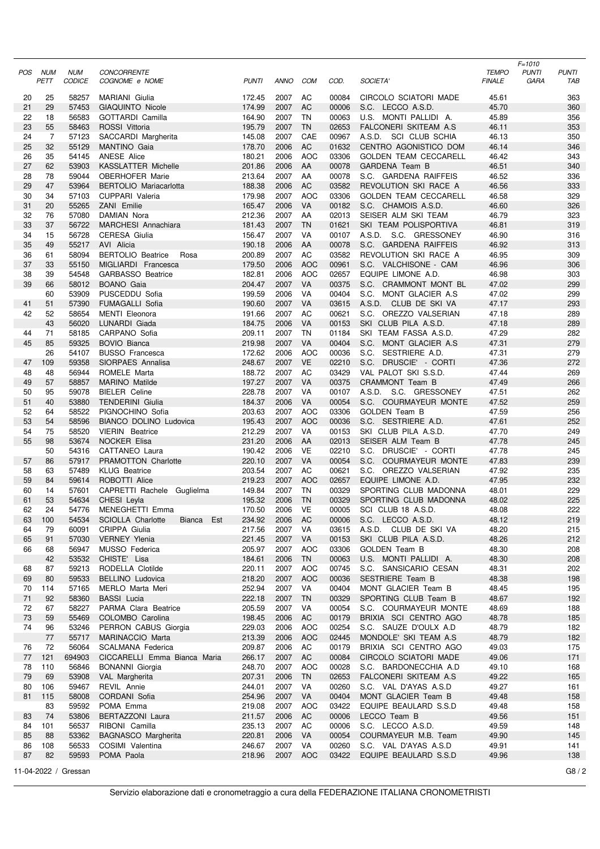| POS      | NUM                  | <b>NUM</b>           | <b>CONCORRENTE</b>                         |                  |                 |                 |                |                                                 | <b>TEMPO</b>   | $F = 1010$<br><b>PUNTI</b> | <b>PUNTI</b> |
|----------|----------------------|----------------------|--------------------------------------------|------------------|-----------------|-----------------|----------------|-------------------------------------------------|----------------|----------------------------|--------------|
|          | PETT                 | <b>CODICE</b>        | COGNOME e NOME                             | <b>PUNTI</b>     | <b>ANNO</b>     | <b>COM</b>      | COD.           | SOCIETA'                                        | <b>FINALE</b>  | GARA                       | TAB          |
| 20       | 25                   | 58257                | <b>MARIANI</b> Giulia                      | 172.45           | 2007            | AC              | 00084          | CIRCOLO SCIATORI MADE                           | 45.61          |                            | 363          |
| 21       | 29                   | 57453                | <b>GIAQUINTO Nicole</b>                    | 174.99           | 2007            | AC              | 00006          | S.C. LECCO A.S.D.                               | 45.70          |                            | 360          |
| 22       | 18                   | 56583                | <b>GOTTARDI Camilla</b>                    | 164.90           | 2007            | TN              | 00063          | U.S. MONTI PALLIDI A.                           | 45.89          |                            | 356          |
| 23       | 55                   | 58463                | ROSSI Vittoria                             | 195.79           | 2007            | <b>TN</b>       | 02653          | FALCONERI SKITEAM A.S.                          | 46.11          |                            | 353          |
| 24<br>25 | $\overline{7}$<br>32 | 57123<br>55129       | SACCARDI Margherita<br><b>MANTINO Gaia</b> | 145.08<br>178.70 | 2007<br>2006    | CAE<br>AC       | 00967<br>01632 | A.S.D. SCI CLUB SCHIA<br>CENTRO AGONISTICO DOM  | 46.13<br>46.14 |                            | 350<br>346   |
| 26       | 35                   | 54145                | <b>ANESE Alice</b>                         | 180.21           | 2006            | <b>AOC</b>      | 03306          | <b>GOLDEN TEAM CECCARELL</b>                    | 46.42          |                            | 343          |
| 27       | 62                   | 53903                | <b>KASSLATTER Michelle</b>                 | 201.86           | 2006            | AA              | 00078          | GARDENA Team B                                  | 46.51          |                            | 340          |
| 28       | 78                   | 59044                | OBERHOFER Marie                            | 213.64           | 2007            | AA              | 00078          | S.C. GARDENA RAIFFEIS                           | 46.52          |                            | 336          |
| 29       | 47                   | 53964                | <b>BERTOLIO Mariacarlotta</b>              | 188.38           | 2006            | <b>AC</b>       | 03582          | REVOLUTION SKI RACE A                           | 46.56          |                            | 333          |
| 30       | 34                   | 57103                | <b>CUPPARI Valeria</b>                     | 179.98           | 2007            | <b>AOC</b>      | 03306          | <b>GOLDEN TEAM CECCARELL</b>                    | 46.58          |                            | 329          |
| 31<br>32 | 20<br>76             | 55265<br>57080       | ZANI Emilie<br>DAMIAN Nora                 | 165.47<br>212.36 | 2006<br>2007    | VA<br>AA        | 00182<br>02013 | S.C. CHAMOIS A.S.D.<br>SEISER ALM SKI TEAM      | 46.60<br>46.79 |                            | 326<br>323   |
| 33       | 37                   | 56722                | MARCHESI Annachiara                        | 181.43           | 2007            | <b>TN</b>       | 01621          | SKI TEAM POLISPORTIVA                           | 46.81          |                            | 319          |
| 34       | 15                   | 56728                | <b>CERESA Giulia</b>                       | 156.47           | 2007            | VA              | 00107          | A.S.D. S.C. GRESSONEY                           | 46.90          |                            | 316          |
| 35       | 49                   | 55217                | AVI Alicia                                 | 190.18           | 2006            | AA              | 00078          | S.C. GARDENA RAIFFEIS                           | 46.92          |                            | 313          |
| 36       | 61                   | 58094                | <b>BERTOLIO Beatrice</b><br>Rosa           | 200.89           | 2007            | AC              | 03582          | REVOLUTION SKI RACE A                           | 46.95          |                            | 309          |
| 37       | 33                   | 55150                | MIGLIARDI Francesca                        | 179.50           | 2006            | <b>AOC</b>      | 00961          | S.C. VALCHISONE - CAM                           | 46.96          |                            | 306          |
| 38       | 39                   | 54548                | <b>GARBASSO Beatrice</b>                   | 182.81           | 2006            | <b>AOC</b>      | 02657          | EQUIPE LIMONE A.D.                              | 46.98          |                            | 303          |
| 39       | 66<br>60             | 58012<br>53909       | <b>BOANO</b> Gaia<br>PUSCEDDU Sofia        | 204.47<br>199.59 | 2007<br>2006    | <b>VA</b><br>VA | 00375<br>00404 | S.C. CRAMMONT MONT BL<br>S.C. MONT GLACIER A.S. | 47.02<br>47.02 |                            | 299<br>299   |
| 41       | 51                   | 57390                | <b>FUMAGALLI Sofia</b>                     | 190.60           | 2007            | VA              | 03615          | A.S.D. CLUB DE SKI VA                           | 47.17          |                            | 293          |
| 42       | 52                   | 58654                | <b>MENTI</b> Eleonora                      | 191.66           | 2007            | AC              | 00621          | S.C. OREZZO VALSERIAN                           | 47.18          |                            | 289          |
|          | 43                   | 56020                | LUNARDI Giada                              | 184.75           | 2006            | VA              | 00153          | SKI CLUB PILA A.S.D.                            | 47.18          |                            | 289          |
| 44       | 71                   | 58185                | CARPANO Sofia                              | 209.11           | 2007            | TN              | 01184          | SKI TEAM FASSA A.S.D.                           | 47.29          |                            | 282          |
| 45       | 85                   | 59325                | <b>BOVIO Bianca</b>                        | 219.98           | 2007            | VA              | 00404          | S.C. MONT GLACIER A.S.                          | 47.31          |                            | 279          |
|          | 26                   | 54107                | <b>BUSSO Francesca</b>                     | 172.62           | 2006            | <b>AOC</b>      | 00036          | S.C. SESTRIERE A.D.                             | 47.31          |                            | 279          |
| 47<br>48 | 109<br>48            | 59358<br>56944       | SIORPAES Annalisa<br>ROMELE Marta          | 248.67<br>188.72 | 2007<br>2007    | <b>VE</b><br>AC | 02210<br>03429 | S.C. DRUSCIE' - CORTI<br>VAL PALOT SKI S.S.D.   | 47.36<br>47.44 |                            | 272<br>269   |
| 49       | 57                   | 58857                | MARINO Matilde                             | 197.27           | 2007            | VA              | 00375          | CRAMMONT Team B                                 | 47.49          |                            | 266          |
| 50       | 95                   | 59078                | <b>BIELER</b> Celine                       | 228.78           | 2007            | VA              | 00107          | A.S.D. S.C. GRESSONEY                           | 47.51          |                            | 262          |
| 51       | 40                   | 53880                | <b>TENDERINI Giulia</b>                    | 184.37           | 2006            | VA              | 00054          | S.C. COURMAYEUR MONTE                           | 47.52          |                            | 259          |
| 52       | 64                   | 58522                | PIGNOCHINO Sofia                           | 203.63           | 2007            | <b>AOC</b>      | 03306          | GOLDEN Team B                                   | 47.59          |                            | 256          |
| 53       | 54                   | 58596                | <b>BIANCO DOLINO Ludovica</b>              | 195.43           | 2007            | <b>AOC</b>      | 00036          | S.C. SESTRIERE A.D.                             | 47.61          |                            | 252          |
| 54       | 75                   | 58520                | <b>VIERIN</b> Beatrice                     | 212.29           | 2007            | VA              | 00153          | SKI CLUB PILA A.S.D.                            | 47.70          |                            | 249          |
| 55       | 98<br>50             | 53674<br>54316       | <b>NOCKER Elisa</b><br>CATTANEO Laura      | 231.20<br>190.42 | 2006<br>2006    | AA<br><b>VE</b> | 02013<br>02210 | SEISER ALM Team B<br>S.C. DRUSCIE' - CORTI      | 47.78<br>47.78 |                            | 245<br>245   |
| 57       | 86                   | 57917                | PRAMOTTON Charlotte                        | 220.10           | 2007            | VA              | 00054          | S.C. COURMAYEUR MONTE                           | 47.83          |                            | 239          |
| 58       | 63                   | 57489                | <b>KLUG Beatrice</b>                       | 203.54           | 2007            | AC              | 00621          | S.C. OREZZO VALSERIAN                           | 47.92          |                            | 235          |
| 59       | 84                   | 59614                | ROBOTTI Alice                              | 219.23           | 2007            | <b>AOC</b>      | 02657          | EQUIPE LIMONE A.D.                              | 47.95          |                            | 232          |
| 60       | 14                   | 57601                | CAPRETTI Rachele Guglielma                 | 149.84           | 2007            | TN              | 00329          | SPORTING CLUB MADONNA                           | 48.01          |                            | 229          |
| 61       | 53                   | 54634                | CHESI Leyla                                | 195.32           | 2006            | <b>TN</b>       | 00329          | SPORTING CLUB MADONNA                           | 48.02          |                            | 225          |
| 62       | 24                   | 54776                | MENEGHETTI Emma<br>Bianca Est              | 170.50           | 2006<br>2006    | VE<br><b>AC</b> | 00005          | SCI CLUB 18 A.S.D.<br>S.C. LECCO A.S.D.         | 48.08<br>48.12 |                            | 222<br>219   |
| 63<br>64 | 100<br>79            | 54534<br>60091       | SCIOLLA Charlotte<br>CRIPPA Giulia         | 234.92<br>217.56 | 2007            | VA              | 00006<br>03615 | A.S.D. CLUB DE SKI VA                           | 48.20          |                            | 215          |
| 65       | 91                   | 57030                | <b>VERNEY Ylenia</b>                       | 221.45           | 2007            | VA              | 00153          | SKI CLUB PILA A.S.D.                            | 48.26          |                            | 212          |
| 66       | 68                   | 56947                | MUSSO Federica                             | 205.97           | 2007            | <b>AOC</b>      | 03306          | GOLDEN Team B                                   | 48.30          |                            | 208          |
|          | 42                   | 53532                | CHISTE' Lisa                               | 184.61           | 2006            | TN              | 00063          | U.S. MONTI PALLIDI A.                           | 48.30          |                            | 208          |
| 68       | 87                   | 59213                | RODELLA Clotilde                           | 220.11           | 2007            | AOC             | 00745          | S.C. SANSICARIO CESAN                           | 48.31          |                            | 202          |
| 69       | 80                   | 59533                | <b>BELLINO Ludovica</b>                    | 218.20           | 2007            | <b>AOC</b>      | 00036          | SESTRIERE Team B                                | 48.38          |                            | 198          |
| 70<br>71 | 114<br>92            | 57165<br>58360       | MERLO Marta Meri<br><b>BASSI</b> Lucia     | 252.94<br>222.18 | 2007<br>2007    | VA<br>TN        | 00404<br>00329 | MONT GLACIER Team B<br>SPORTING CLUB Team B     | 48.45<br>48.67 |                            | 195<br>192   |
| 72       | 67                   | 58227                | PARMA Clara Beatrice                       | 205.59           | 2007            | VA              | 00054          | S.C. COURMAYEUR MONTE                           | 48.69          |                            | 188          |
| 73       | 59                   | 55469                | COLOMBO Carolina                           | 198.45           | 2006            | AC              | 00179          | BRIXIA SCI CENTRO AGO                           | 48.78          |                            | 185          |
| 74       | 96                   | 53246                | PERRON CABUS Giorgia                       | 229.03           | 2006            | <b>AOC</b>      | 00254          | S.C. SAUZE D'OULX A.D                           | 48.79          |                            | 182          |
|          | 77                   | 55717                | MARINACCIO Marta                           | 213.39           | 2006            | <b>AOC</b>      | 02445          | MONDOLE' SKI TEAM A.S                           | 48.79          |                            | 182          |
| 76       | 72                   | 56064                | <b>SCALMANA Federica</b>                   | 209.87           | 2006            | AC              | 00179          | BRIXIA SCI CENTRO AGO                           | 49.03          |                            | 175          |
| 77       | 121                  | 694903               | CICCARELLI Emma Bianca Maria               | 266.17           | 2007            | AC              | 00084          | CIRCOLO SCIATORI MADE                           | 49.06          |                            | 171          |
| 78       | 110                  | 56846                | <b>BONANNI</b> Giorgia                     | 248.70           | 2007            | AOC             | 00028          | S.C. BARDONECCHIA A.D                           | 49.10          |                            | 168          |
| 79<br>80 | 69<br>106            | 53908<br>59467       | VAL Margherita<br>REVIL Annie              | 207.31<br>244.01 | 2006<br>2007 VA | <b>TN</b>       | 02653<br>00260 | FALCONERI SKITEAM A.S.<br>S.C. VAL D'AYAS A.S.D | 49.22<br>49.27 |                            | 165<br>161   |
| 81       | 115                  | 58008                | CORDANI Sofia                              | 254.96           | 2007            | VA              | 00404          | MONT GLACIER Team B                             | 49.48          |                            | 158          |
|          | 83                   | 59592                | POMA Emma                                  | 219.08           | 2007            | <b>AOC</b>      | 03422          | EQUIPE BEAULARD S.S.D                           | 49.48          |                            | 158          |
| 83       | 74                   | 53806                | BERTAZZONI Laura                           | 211.57           | 2006            | AC              | 00006          | LECCO Team B                                    | 49.56          |                            | 151          |
| 84       | 101                  | 56537                | RIBONI Camilla                             | 235.13           | 2007            | AC              | 00006          | S.C. LECCO A.S.D.                               | 49.59          |                            | 148          |
| 85       | 88                   | 53362                | BAGNASCO Margherita                        | 220.81           | 2006            | VA              | 00054          | COURMAYEUR M.B. Team                            | 49.90          |                            | 145          |
| 86       | 108                  | 56533                | COSIMI Valentina                           | 246.67           | 2007 VA         |                 | 00260          | S.C. VAL D'AYAS A.S.D                           | 49.91          |                            | 141          |
| 87       | 82                   | 59593                | POMA Paola                                 | 218.96           | 2007 AOC        |                 | 03422          | EQUIPE BEAULARD S.S.D                           | 49.96          |                            | 138          |
|          |                      | 11-04-2022 / Gressan |                                            |                  |                 |                 |                |                                                 |                |                            | G8/2         |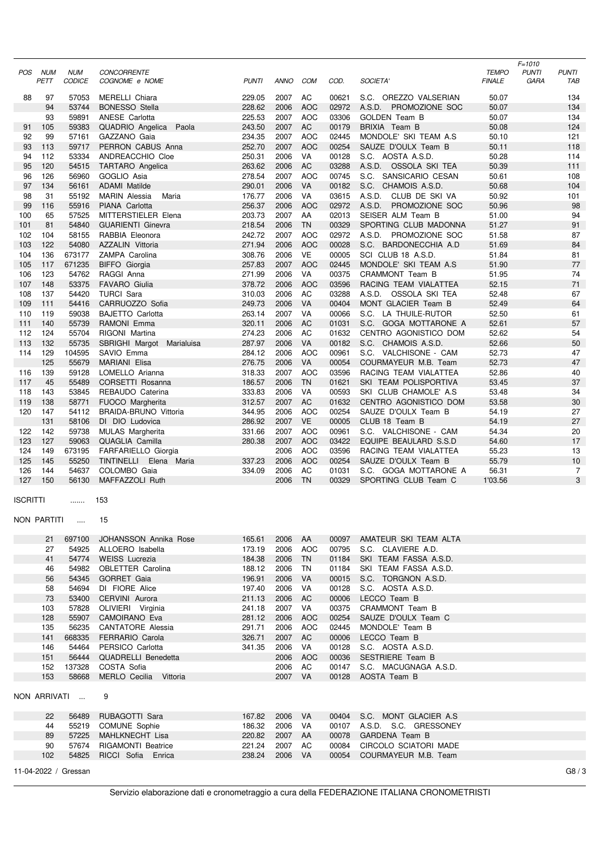| POS        | <b>NUM</b><br>PETT | <b>NUM</b><br><b>CODICE</b> | <b>CONCORRENTE</b><br>COGNOME e NOME            | <b>PUNTI</b>     | <b>ANNO</b>        | <b>COM</b>               | COD.           | SOCIETA'                                        | <b>TEMPO</b><br><b>FINALE</b> | $F = 1010$<br><b>PUNTI</b><br>GARA | <b>PUNTI</b><br>TAB  |
|------------|--------------------|-----------------------------|-------------------------------------------------|------------------|--------------------|--------------------------|----------------|-------------------------------------------------|-------------------------------|------------------------------------|----------------------|
| 88         | 97                 | 57053                       | MERELLI Chiara                                  | 229.05           | 2007               | AC                       | 00621          | S.C. OREZZO VALSERIAN                           | 50.07                         |                                    | 134                  |
|            | 94                 | 53744                       | <b>BONESSO</b> Stella                           | 228.62           | 2006               | <b>AOC</b>               | 02972          | A.S.D.<br>PROMOZIONE SOC                        | 50.07                         |                                    | 134                  |
|            | 93                 | 59891                       | ANESE Carlotta                                  | 225.53           | 2007               | <b>AOC</b>               | 03306          | <b>GOLDEN Team B</b>                            | 50.07                         |                                    | 134                  |
| 91         | 105                | 59383                       | QUADRIO Angelica Paola                          | 243.50           | 2007               | AC                       | 00179          | BRIXIA Team B                                   | 50.08                         |                                    | 124                  |
| 92<br>93   | 99<br>113          | 57161<br>59717              | GAZZANO Gaia<br>PERRON CABUS Anna               | 234.35<br>252.70 | 2007<br>2007       | <b>AOC</b><br><b>AOC</b> | 02445<br>00254 | MONDOLE' SKI TEAM A.S<br>SAUZE D'OULX Team B    | 50.10<br>50.11                |                                    | 121<br>118           |
| 94         | 112                | 53334                       | ANDREACCHIO Cloe                                | 250.31           | 2006               | VA                       | 00128          | S.C. AOSTA A.S.D.                               | 50.28                         |                                    | 114                  |
| 95         | 120                | 54515                       | <b>TARTARO</b> Angelica                         | 263.62           | 2006               | AC                       | 03288          | A.S.D. OSSOLA SKI TEA                           | 50.39                         |                                    | 111                  |
| 96         | 126                | 56960                       | GOGLIO Asia                                     | 278.54           | 2007               | <b>AOC</b>               | 00745          | S.C. SANSICARIO CESAN                           | 50.61                         |                                    | 108                  |
| 97         | 134                | 56161                       | <b>ADAMI</b> Matilde                            | 290.01           | 2006               | VA                       | 00182          | S.C. CHAMOIS A.S.D.                             | 50.68                         |                                    | 104                  |
| 98         | 31                 | 55192                       | <b>MARIN</b> Alessia<br>Maria                   | 176.77           | 2006               | VA                       | 03615          | A.S.D.<br>CLUB DE SKI VA                        | 50.92                         |                                    | 101                  |
| 99         | 116                | 55916                       | PIANA Carlotta                                  | 256.37           | 2006               | <b>AOC</b>               | 02972          | A.S.D.<br>PROMOZIONE SOC                        | 50.96                         |                                    | 98                   |
| 100<br>101 | 65<br>81           | 57525<br>54840              | MITTERSTIELER Elena<br><b>GUARIENTI Ginevra</b> | 203.73<br>218.54 | 2007<br>2006       | AA<br><b>TN</b>          | 02013<br>00329 | SEISER ALM Team B<br>SPORTING CLUB MADONNA      | 51.00<br>51.27                |                                    | 94<br>91             |
| 102        | 104                | 58155                       | RABBIA Eleonora                                 | 242.72           | 2007               | <b>AOC</b>               | 02972          | A.S.D. PROMOZIONE SOC                           | 51.58                         |                                    | 87                   |
| 103        | 122                | 54080                       | AZZALIN Vittoria                                | 271.94           | 2006               | <b>AOC</b>               | 00028          | S.C. BARDONECCHIA A.D                           | 51.69                         |                                    | 84                   |
| 104        | 136                | 673177                      | ZAMPA Carolina                                  | 308.76           | 2006               | VE                       | 00005          | SCI CLUB 18 A.S.D.                              | 51.84                         |                                    | 81                   |
| 105        | 117                | 671235                      | <b>BIFFO</b> Giorgia                            | 257.83           | 2007               | <b>AOC</b>               | 02445          | MONDOLE' SKI TEAM A.S                           | 51.90                         |                                    | 77                   |
| 106        | 123                | 54762                       | RAGGI Anna                                      | 271.99           | 2006               | VA                       | 00375          | CRAMMONT Team B                                 | 51.95                         |                                    | 74                   |
| 107        | 148                | 53375                       | <b>FAVARO</b> Giulia                            | 378.72           | 2006               | <b>AOC</b>               | 03596          | RACING TEAM VIALATTEA                           | 52.15                         |                                    | 71                   |
| 108<br>109 | 137<br>111         | 54420                       | <b>TURCI Sara</b>                               | 310.03<br>249.73 | 2006<br>2006       | AC<br>VA                 | 03288          | A.S.D. OSSOLA SKI TEA<br>MONT GLACIER Team B    | 52.48<br>52.49                |                                    | 67<br>64             |
| 110        | 119                | 54416<br>59038              | CARRUOZZO Sofia<br><b>BAJETTO Carlotta</b>      | 263.14           | 2007               | VA                       | 00404<br>00066 | S.C. LA THUILE-RUTOR                            | 52.50                         |                                    | 61                   |
| 111        | 140                | 55739                       | RAMONI Emma                                     | 320.11           | 2006               | AC                       | 01031          | S.C. GOGA MOTTARONE A                           | 52.61                         |                                    | 57                   |
| 112        | 124                | 55704                       | RIGONI Martina                                  | 274.23           | 2006               | AC                       | 01632          | CENTRO AGONISTICO DOM                           | 52.62                         |                                    | 54                   |
| 113        | 132                | 55735                       | SBRIGHI Margot<br>Marialuisa                    | 287.97           | 2006               | VA                       | 00182          | S.C. CHAMOIS A.S.D.                             | 52.66                         |                                    | 50                   |
| 114        | 129                | 104595                      | SAVIO Emma                                      | 284.12           | 2006               | <b>AOC</b>               | 00961          | S.C. VALCHISONE - CAM                           | 52.73                         |                                    | 47                   |
|            | 125                | 55679                       | <b>MARIANI Elisa</b>                            | 276.75           | 2006               | VA                       | 00054          | COURMAYEUR M.B. Team                            | 52.73                         |                                    | 47                   |
| 116        | 139                | 59128                       | LOMELLO Arianna                                 | 318.33           | 2007               | <b>AOC</b>               | 03596          | RACING TEAM VIALATTEA                           | 52.86                         |                                    | 40                   |
| 117<br>118 | 45<br>143          | 55489<br>53845              | CORSETTI Rosanna<br>REBAUDO Caterina            | 186.57<br>333.83 | 2006<br>2006       | <b>TN</b><br>VA          | 01621<br>00593 | SKI TEAM POLISPORTIVA<br>SKI CLUB CHAMOLE' A.S. | 53.45<br>53.48                |                                    | 37<br>34             |
| 119        | 138                | 58771                       | FUOCO Margherita                                | 312.57           | 2007               | AC                       | 01632          | CENTRO AGONISTICO DOM                           | 53.58                         |                                    | 30                   |
| 120        | 147                | 54112                       | BRAIDA-BRUNO Vittoria                           | 344.95           | 2006               | <b>AOC</b>               | 00254          | SAUZE D'OULX Team B                             | 54.19                         |                                    | 27                   |
|            | 131                | 58106                       | DI DIO Ludovica                                 | 286.92           | 2007               | <b>VE</b>                | 00005          | CLUB 18 Team B                                  | 54.19                         |                                    | 27                   |
| 122        | 142                | 59738                       | <b>MULAS Margherita</b>                         | 331.66           | 2007               | <b>AOC</b>               | 00961          | S.C. VALCHISONE - CAM                           | 54.34                         |                                    | 20                   |
| 123        | 127                | 59063                       | QUAGLIA Camilla                                 | 280.38           | 2007               | <b>AOC</b>               | 03422          | EQUIPE BEAULARD S.S.D                           | 54.60                         |                                    | 17                   |
| 124        | 149                | 673195                      | <b>FARFARIELLO Giorgia</b>                      |                  | 2006               | <b>AOC</b>               | 03596          | RACING TEAM VIALATTEA                           | 55.23                         |                                    | 13                   |
| 125<br>126 | 145<br>144         | 55250<br>54637              | TINTINELLI Elena Maria<br>COLOMBO Gaia          | 337.23<br>334.09 | 2006<br>2006       | <b>AOC</b><br>$\sf AC$   | 00254<br>01031 | SAUZE D'OULX Team B<br>S.C. GOGA MOTTARONE A    | 55.79<br>56.31                |                                    | 10<br>$\overline{7}$ |
| 127        | 150                | 56130                       | MAFFAZZOLI Ruth                                 |                  | 2006               | <b>TN</b>                | 00329          | SPORTING CLUB Team C                            | 1'03.56                       |                                    | 3                    |
| ISCRITTI   |                    | .                           | 153                                             |                  |                    |                          |                |                                                 |                               |                                    |                      |
|            | NON PARTITI        | $\sim 100$                  | 15                                              |                  |                    |                          |                |                                                 |                               |                                    |                      |
|            | 21                 | 697100                      | JOHANSSON Annika Rose                           | 165.61           | 2006               | AA                       | 00097          | AMATEUR SKI TEAM ALTA                           |                               |                                    |                      |
|            | 27                 | 54925                       | ALLOERO Isabella                                | 173.19           | 2006               | <b>AOC</b>               | 00795          | S.C. CLAVIERE A.D.                              |                               |                                    |                      |
|            | 41                 | 54774                       | <b>WEISS Lucrezia</b>                           | 184.38           | 2006 TN            |                          | 01184          | SKI TEAM FASSA A.S.D.                           |                               |                                    |                      |
|            | 46                 | 54982                       | OBLETTER Carolina                               | 188.12           | 2006               | TN                       | 01184          | SKI TEAM FASSA A.S.D.                           |                               |                                    |                      |
|            | 56                 | 54345                       | <b>GORRET Gaia</b>                              | 196.91           | 2006 VA            |                          | 00015          | S.C. TORGNON A.S.D.                             |                               |                                    |                      |
|            | 58                 | 54694                       | DI FIORE Alice                                  | 197.40           | 2006               | VA                       | 00128          | S.C. AOSTA A.S.D.                               |                               |                                    |                      |
|            | 73<br>103          | 53400<br>57828              | CERVINI Aurora<br>OLIVIERI Virginia             | 211.13<br>241.18 | 2006 AC<br>2007 VA |                          | 00006<br>00375 | LECCO Team B<br>CRAMMONT Team B                 |                               |                                    |                      |
|            | 128                | 55907                       | CAMOIRANO Eva                                   | 281.12           | 2006               | AOC                      | 00254          | SAUZE D'OULX Team C                             |                               |                                    |                      |
|            | 135                | 56235                       | <b>CANTATORE Alessia</b>                        | 291.71           | 2006               | AOC                      | 02445          | MONDOLE' Team B                                 |                               |                                    |                      |
|            | 141                | 668335                      | <b>FERRARIO Carola</b>                          | 326.71           | 2007 AC            |                          | 00006          | LECCO Team B                                    |                               |                                    |                      |
|            | 146                | 54464                       | PERSICO Carlotta                                | 341.35           | 2006               | VA                       | 00128          | S.C. AOSTA A.S.D.                               |                               |                                    |                      |
|            | 151                | 56444                       | QUADRELLI Benedetta                             |                  |                    | 2006 AOC                 | 00036          | SESTRIERE Team B                                |                               |                                    |                      |
|            | 152<br>153         | 137328                      | COSTA Sofia                                     |                  | 2006<br>2007 VA    | AC                       | 00147          | S.C. MACUGNAGA A.S.D.                           |                               |                                    |                      |
|            |                    | 58668<br>NON ARRIVATI       | MERLO Cecilia Vittoria<br>9                     |                  |                    |                          | 00128          | AOSTA Team B                                    |                               |                                    |                      |
|            |                    |                             |                                                 |                  |                    |                          |                |                                                 |                               |                                    |                      |
|            | 22                 | 56489                       | RUBAGOTTI Sara                                  | 167.82           | 2006 VA            |                          | 00404          | S.C. MONT GLACIER A.S.                          |                               |                                    |                      |
|            | 44                 | 55219                       | <b>COMUNE Sophie</b>                            | 186.32           | 2006               | VA                       | 00107          | A.S.D. S.C. GRESSONEY                           |                               |                                    |                      |
|            | 89                 | 57225<br>57674              | MAHLKNECHT Lisa<br><b>RIGAMONTI Beatrice</b>    | 220.82<br>221.24 | 2007 AA<br>2007    | AC                       | 00078<br>00084 | GARDENA Team B<br>CIRCOLO SCIATORI MADE         |                               |                                    |                      |
|            | 90<br>102          | 54825                       | RICCI Sofia Enrica                              | 238.24           | 2006 VA            |                          | 00054          | COURMAYEUR M.B. Team                            |                               |                                    |                      |
|            |                    |                             |                                                 |                  |                    |                          |                |                                                 |                               |                                    |                      |
|            |                    | 11-04-2022 / Gressan        |                                                 |                  |                    |                          |                |                                                 |                               |                                    | G8/3                 |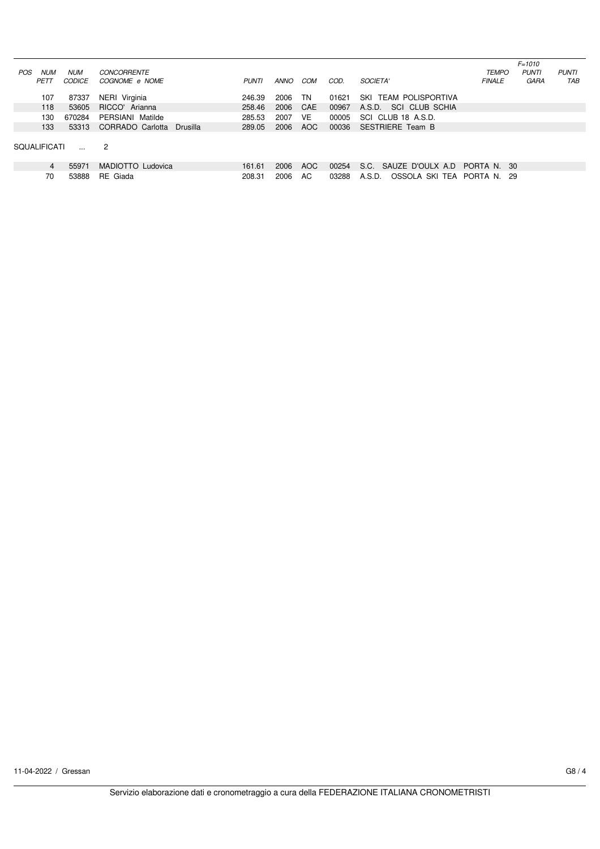|                          |               |                              |              |      |      |       |                                      |               | $F = 1010$   |              |
|--------------------------|---------------|------------------------------|--------------|------|------|-------|--------------------------------------|---------------|--------------|--------------|
| <b>NUM</b><br><b>POS</b> | <b>NUM</b>    | <b>CONCORRENTE</b>           |              |      |      |       |                                      | <b>TEMPO</b>  | <b>PUNTI</b> | <b>PUNTI</b> |
| PETT                     | <i>CODICE</i> | COGNOME e NOME               | <b>PUNTI</b> | ANNO | COM  | COD.  | <b>SOCIETA'</b>                      | <b>FINALE</b> | GARA         | TAB          |
|                          |               |                              |              |      |      |       |                                      |               |              |              |
| 107                      | 87337         | NERI Virginia                | 246.39       | 2006 | TN   | 01621 | <b>TEAM POLISPORTIVA</b><br>SKI      |               |              |              |
| 118                      | 53605         | RICCO' Arianna               | 258.46       | 2006 | CAE  | 00967 | SCI CLUB SCHIA<br>A.S.D.             |               |              |              |
| 130                      | 670284        | PERSIANI Matilde             | 285.53       | 2007 | VE   | 00005 | SCI CLUB 18 A.S.D.                   |               |              |              |
| 133                      | 53313         | CORRADO Carlotta<br>Drusilla | 289.05       | 2006 | AOC. | 00036 | <b>SESTRIERE Team B</b>              |               |              |              |
|                          |               |                              |              |      |      |       |                                      |               |              |              |
| <b>SOUALIFICATI</b>      |               | $\overline{2}$               |              |      |      |       |                                      |               |              |              |
|                          |               |                              |              |      |      |       |                                      |               |              |              |
| $\overline{4}$           | 55971         | MADIOTTO Ludovica            | 161.61       | 2006 | AOC. | 00254 | S.C. SAUZE D'OULX A.D.               | PORTA N.      | - 30         |              |
| 70                       | 53888         | RE Giada                     | 208.31       | 2006 | AC.  | 03288 | OSSOLA SKI TEA PORTA N. 29<br>A.S.D. |               |              |              |
|                          |               |                              |              |      |      |       |                                      |               |              |              |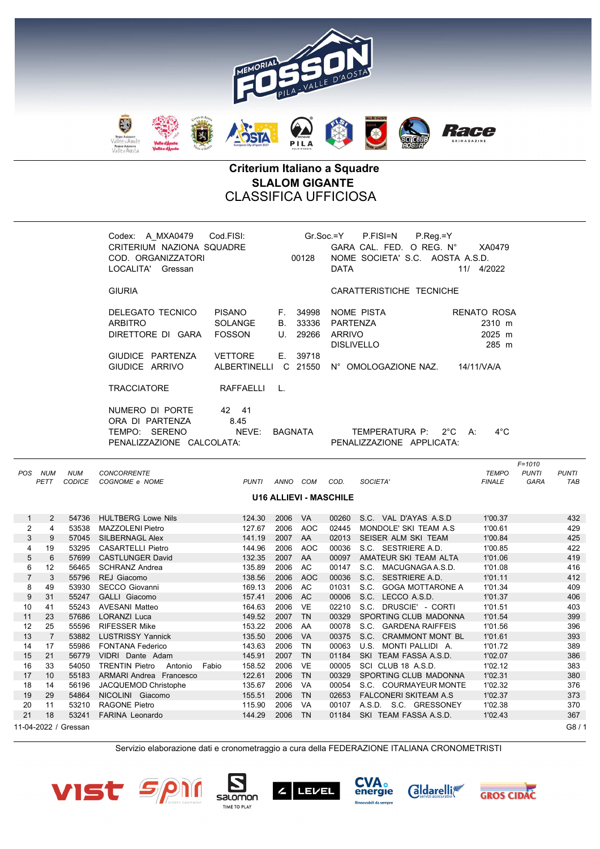

## Criterium Italiano a Squadre SLALOM GIGANTE CLASSIFICA UFFICIOSA

|                |                      |                             | Codex: A MXA0479<br>Cod.FISI:<br>CRITERIUM NAZIONA SQUADRE<br>COD. ORGANIZZATORI<br>00128<br>LOCALITA' Gressan |                                                                    |                             | $Gr.Soc = Y$<br>P.FISI=N<br>$P_{Reg}=Y$<br>GARA CAL. FED. O REG. N°<br>XA0479<br>NOME SOCIETA' S.C. AOSTA A.S.D.<br><b>DATA</b><br>11/ 4/2022 |                                                       |                                                              |                                                             |                                           |
|----------------|----------------------|-----------------------------|----------------------------------------------------------------------------------------------------------------|--------------------------------------------------------------------|-----------------------------|-----------------------------------------------------------------------------------------------------------------------------------------------|-------------------------------------------------------|--------------------------------------------------------------|-------------------------------------------------------------|-------------------------------------------|
|                |                      |                             | <b>GIURIA</b>                                                                                                  |                                                                    |                             |                                                                                                                                               |                                                       | CARATTERISTICHE TECNICHE                                     |                                                             |                                           |
|                |                      |                             | DELEGATO TECNICO<br><b>ARBITRO</b><br>DIRETTORE DI GARA<br>GIUDICE PARTENZA                                    | <b>PISANO</b><br><b>SOLANGE</b><br><b>FOSSON</b><br><b>VETTORE</b> | F.<br><b>B.</b><br>U.<br>Е. | 34998<br>33336<br>29266<br>39718                                                                                                              | <b>PARTENZA</b><br><b>ARRIVO</b><br><b>DISLIVELLO</b> | NOME PISTA                                                   | <b>RENATO ROSA</b><br>2310 m<br>2025 m<br>285 m             |                                           |
|                |                      |                             | GIUDICE ARRIVO                                                                                                 | ALBERTINELLI C 21550                                               |                             |                                                                                                                                               |                                                       | N° OMOLOGAZIONE NAZ.                                         | 14/11/VA/A                                                  |                                           |
|                |                      |                             | <b>TRACCIATORE</b>                                                                                             | RAFFAELLI                                                          | L.                          |                                                                                                                                               |                                                       |                                                              |                                                             |                                           |
|                |                      |                             | NUMERO DI PORTE<br>ORA DI PARTENZA<br>TEMPO: SERENO<br>PENALIZZAZIONE CALCOLATA:                               | 42 41<br>8.45<br>NEVE:                                             | <b>BAGNATA</b>              |                                                                                                                                               |                                                       | TEMPERATURA P:<br>$2^{\circ}$ C<br>PENALIZZAZIONE APPLICATA: | $4^{\circ}$ C<br>A:                                         |                                           |
|                | POS NUM<br>PETT      | <b>NUM</b><br><b>CODICE</b> | <b>CONCORRENTE</b><br>COGNOME e NOME                                                                           | <b>PUNTI</b>                                                       |                             | ANNO COM                                                                                                                                      | COD.                                                  | SOCIETA'                                                     | $F = 1010$<br><b>TEMPO</b><br><b>PUNTI</b><br><b>FINALE</b> | <b>PUNTI</b><br><b>GARA</b><br><b>TAB</b> |
|                |                      |                             |                                                                                                                |                                                                    |                             | <b>U16 ALLIEVI - MASCHILE</b>                                                                                                                 |                                                       |                                                              |                                                             |                                           |
| $\mathbf{1}$   | $\overline{2}$       | 54736                       | <b>HULTBERG Lowe Nils</b>                                                                                      | 124.30                                                             | 2006                        | <b>VA</b>                                                                                                                                     |                                                       | 00260 S.C. VAL D'AYAS A.S.D                                  | 1'00.37                                                     | 432                                       |
| $\overline{2}$ | $\overline{4}$       | 53538                       | MAZZOLENI Pietro                                                                                               | 127.67                                                             | 2006                        | <b>AOC</b>                                                                                                                                    | 02445                                                 | MONDOLE' SKI TEAM A.S                                        | 1'00.61                                                     | 429                                       |
| 3              | 9                    | 57045                       | SILBERNAGL Alex                                                                                                | 141.19                                                             | 2007                        | AA                                                                                                                                            | 02013                                                 | SEISER ALM SKI TEAM                                          | 1'00.84                                                     | 425                                       |
| 4              | 19                   | 53295                       | <b>CASARTELLI Pietro</b>                                                                                       | 144.96                                                             | 2006                        | <b>AOC</b>                                                                                                                                    | 00036                                                 | S.C. SESTRIERE A.D.                                          | 1'00.85                                                     | 422                                       |
| 5              | 6                    | 57699                       | <b>CASTLUNGER David</b>                                                                                        | 132.35                                                             | 2007                        | AA                                                                                                                                            | 00097                                                 | AMATEUR SKI TEAM ALTA                                        | 1'01.06                                                     | 419                                       |
| 6              | 12                   |                             | 56465 SCHRANZ Andrea                                                                                           | 135.89                                                             | 2006                        | <b>AC</b>                                                                                                                                     |                                                       | 00147 S.C. MACUGNAGA A.S.D.                                  | 1'01.08                                                     | 416                                       |
| $\overline{7}$ | 3                    | 55796                       | REJ Giacomo                                                                                                    | 138.56                                                             | 2006                        | <b>AOC</b>                                                                                                                                    | 00036                                                 | S.C. SESTRIERE A.D.                                          | 1'01.11                                                     | 412                                       |
| 8              | 49                   | 53930                       | SECCO Giovanni                                                                                                 | 169.13                                                             | 2006                        | AC                                                                                                                                            | 01031                                                 | S.C. GOGA MOTTARONE A                                        | 1'01.34                                                     | 409                                       |
| 9              | 31                   | 55247                       | GALLI Giacomo                                                                                                  | 157.41                                                             | 2006 AC                     |                                                                                                                                               | 00006                                                 | S.C. LECCO A.S.D.                                            | 1'01.37                                                     | 406                                       |
| 10             | 41                   | 55243                       | <b>AVESANI Matteo</b>                                                                                          | 164.63                                                             | 2006                        | <b>VE</b>                                                                                                                                     | 02210                                                 | S.C. DRUSCIE' - CORTI                                        | 1'01.51                                                     | 403                                       |
| 11             | 23                   | 57686                       | <b>LORANZI Luca</b>                                                                                            | 149.52                                                             | 2007<br>2006                | <b>TN</b>                                                                                                                                     | 00329                                                 | SPORTING CLUB MADONNA                                        | 1'01.54                                                     | 399                                       |
| 12             | 25                   | 55596<br>53882              | <b>RIFESSER Mike</b>                                                                                           | 153.22                                                             | 2006                        | AA<br><b>VA</b>                                                                                                                               | 00078                                                 | S.C. GARDENA RAIFFEIS                                        | 1'01.56                                                     | 396                                       |
| 13<br>14       | $\overline{7}$<br>17 | 55986                       | <b>LUSTRISSY Yannick</b><br><b>FONTANA Federico</b>                                                            | 135.50<br>143.63                                                   | 2006                        | TN                                                                                                                                            | 00375<br>00063                                        | S.C. CRAMMONT MONT BL<br>U.S. MONTI PALLIDI A.               | 1'01.61<br>1'01.72                                          | 393<br>389                                |
| 15             | 21                   | 56779                       | VIDRI Dante Adam                                                                                               | 145.91                                                             | 2007                        | <b>TN</b>                                                                                                                                     | 01184                                                 | SKI TEAM FASSA A.S.D.                                        | 1'02.07                                                     | 386                                       |
| 16             | 33                   | 54050                       | <b>TRENTIN Pietro</b><br>Antonio<br>Fabio                                                                      | 158.52                                                             | 2006                        | <b>VE</b>                                                                                                                                     | 00005                                                 | SCI CLUB 18 A.S.D.                                           | 1'02.12                                                     | 383                                       |
| 17             | 10                   | 55183                       | <b>ARMARI Andrea Francesco</b>                                                                                 | 122.61                                                             | 2006                        | <b>TN</b>                                                                                                                                     | 00329                                                 | SPORTING CLUB MADONNA                                        | 1'02.31                                                     | 380                                       |
| 18             | 14                   | 56196                       | JACQUEMOD Christophe                                                                                           | 135.67                                                             | 2006                        | VA                                                                                                                                            | 00054                                                 | S.C. COURMAYEUR MONTE                                        | 1'02.32                                                     | 376                                       |
| 19             | 29                   | 54864                       | NICOLINI Giacomo                                                                                               | 155.51                                                             | 2006                        | TN                                                                                                                                            | 02653                                                 | FALCONERI SKITEAM A.S                                        | 1'02.37                                                     | 373                                       |
| 20             | 11                   | 53210                       | <b>RAGONE Pietro</b>                                                                                           | 115.90                                                             | 2006                        | VA                                                                                                                                            | 00107                                                 | A.S.D. S.C. GRESSONEY                                        | 1'02.38                                                     | 370                                       |
| 21             | 18                   | 53241                       | <b>FARINA Leonardo</b>                                                                                         | 144.29                                                             | 2006                        | <b>TN</b>                                                                                                                                     | 01184                                                 | SKI TEAM FASSA A.S.D.                                        | 1'02.43                                                     | 367                                       |
|                |                      | 11-04-2022 / Gressan        |                                                                                                                |                                                                    |                             |                                                                                                                                               |                                                       |                                                              |                                                             | G8/1                                      |
|                |                      |                             |                                                                                                                |                                                                    |                             |                                                                                                                                               |                                                       |                                                              |                                                             |                                           |

Servizio elaborazione dati e cronometraggio a cura della FEDERAZIONE ITALIANA CRONOMETRISTI











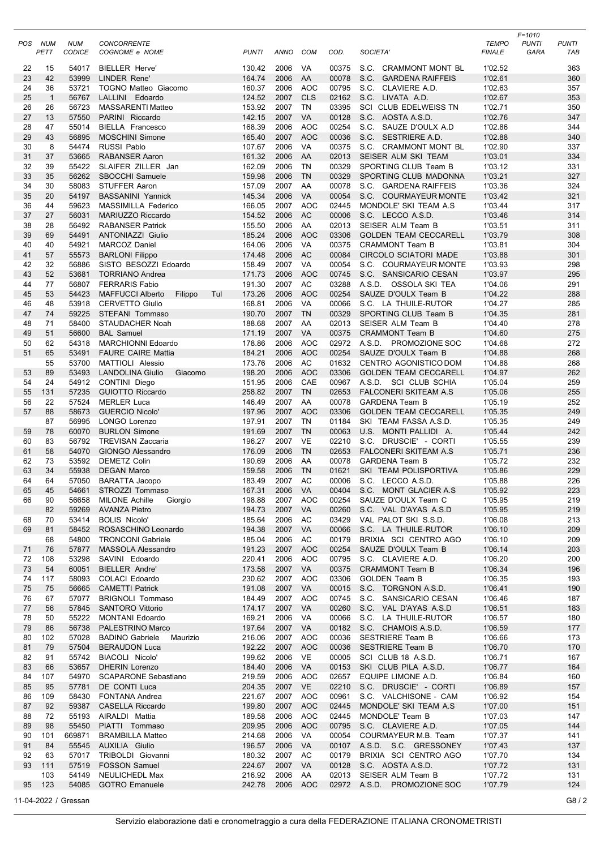| POS      | NUM<br>PETT    | <b>NUM</b><br>CODICE | <b>CONCORRENTE</b><br>COGNOME e NOME            | <b>PUNTI</b>     | ANNO            | <b>COM</b>       | COD.           | <b>SOCIETA</b>                                        | <b>TEMPO</b><br><b>FINALE</b> | $F = 1010$<br><b>PUNTI</b><br>GARA | <b>PUNTI</b><br>TAB |
|----------|----------------|----------------------|-------------------------------------------------|------------------|-----------------|------------------|----------------|-------------------------------------------------------|-------------------------------|------------------------------------|---------------------|
| 22       | 15             | 54017                | <b>BIELLER Herve</b>                            | 130.42           | 2006            | VA               | 00375          | S.C. CRAMMONT MONT BL                                 | 1'02.52                       |                                    | 363                 |
| 23       | 42             | 53999                | <b>LINDER Rene'</b>                             | 164.74           | 2006            | AA               | 00078          | S.C. GARDENA RAIFFEIS                                 | 1'02.61                       |                                    | 360                 |
| 24       | 36             | 53721                | <b>TOGNO Matteo Giacomo</b>                     | 160.37           | 2006            | <b>AOC</b>       | 00795          | S.C.<br>CLAVIERE A.D.                                 | 1'02.63                       |                                    | 357                 |
| 25       | $\overline{1}$ | 56767                | LALLINI Edoardo                                 | 124.52           | 2007            | <b>CLS</b>       | 02162          | S.C. LIVATA A.D.                                      | 1'02.67                       |                                    | 353                 |
| 26       | 26             | 56723                | <b>MASSARENTI Matteo</b>                        | 153.92           | 2007            | <b>TN</b>        | 03395          | SCI CLUB EDELWEISS TN                                 | 1'02.71                       |                                    | 350                 |
| 27       | 13             | 57550                | PARINI Riccardo                                 | 142.15           | 2007            | <b>VA</b>        | 00128          | S.C. AOSTA A.S.D.                                     | 1'02.76                       |                                    | 347                 |
| 28       | 47             | 55014                | BIELLA Francesco                                | 168.39           | 2006            | <b>AOC</b>       | 00254          | S.C.<br>SAUZE D'OULX A.D                              | 1'02.86                       |                                    | 344                 |
| 29       | 43             | 56895                | <b>MOSCHINI Simone</b>                          | 165.40           | 2007            | <b>AOC</b>       | 00036          | S.C. SESTRIERE A.D.                                   | 1'02.88                       |                                    | 340                 |
| 30<br>31 | 8<br>37        | 54474<br>53665       | RUSSI Pablo<br><b>RABANSER Aaron</b>            | 107.67<br>161.32 | 2006<br>2006    | VA<br>AA         | 00375<br>02013 | S.C. CRAMMONT MONT BL<br>SEISER ALM SKI TEAM          | 1'02.90<br>1'03.01            |                                    | 337<br>334          |
| 32       | 39             | 55422                | SLAIFER ZILLER Jan                              | 162.09           | 2006            | TN               | 00329          | SPORTING CLUB Team B                                  | 1'03.12                       |                                    | 331                 |
| 33       | 35             | 56262                | SBOCCHI Samuele                                 | 159.98           | 2006            | <b>TN</b>        | 00329          | SPORTING CLUB MADONNA                                 | 1'03.21                       |                                    | 327                 |
| 34       | 30             | 58083                | <b>STUFFER Aaron</b>                            | 157.09           | 2007            | AA               | 00078          | S.C. GARDENA RAIFFEIS                                 | 1'03.36                       |                                    | 324                 |
| 35       | 20             | 54197                | <b>BASSANINI Yannick</b>                        | 145.34           | 2006            | <b>VA</b>        | 00054          | S.C. COURMAYEUR MONTE                                 | 1'03.42                       |                                    | 321                 |
| 36       | 44             | 59623                | MASSIMILLA Federico                             | 166.05           | 2007            | <b>AOC</b>       | 02445          | MONDOLE' SKI TEAM A.S                                 | 1'03.44                       |                                    | 317                 |
| 37       | 27             | 56031                | MARIUZZO Riccardo                               | 154.52           | 2006            | AC               | 00006          | S.C. LECCO A.S.D.                                     | 1'03.46                       |                                    | 314                 |
| 38       | 28             | 56492                | <b>RABANSER Patrick</b>                         | 155.50           | 2006            | AA               | 02013          | SEISER ALM Team B                                     | 1'03.51                       |                                    | 311                 |
| 39       | 69             | 54491                | <b>ANTONIAZZI Giulio</b>                        | 185.24           | 2006            | <b>AOC</b>       | 03306          | <b>GOLDEN TEAM CECCARELL</b>                          | 1'03.79                       |                                    | 308                 |
| 40       | 40             | 54921                | <b>MARCOZ Daniel</b>                            | 164.06           | 2006            | VA               | 00375          | <b>CRAMMONT Team B</b>                                | 1'03.81                       |                                    | 304                 |
| 41       | 57             | 55573                | <b>BARLONI Filippo</b><br>SISTO BESOZZI Edoardo | 174.48           | 2006            | <b>AC</b>        | 00084          | <b>CIRCOLO SCIATORI MADE</b><br>S.C. COURMAYEUR MONTE | 1'03.88                       |                                    | 301                 |
| 42<br>43 | 32<br>52       | 56886<br>53681       |                                                 | 158.49           | 2007<br>2006    | VA<br><b>AOC</b> | 00054<br>00745 | S.C. SANSICARIO CESAN                                 | 1'03.93                       |                                    | 298<br>295          |
| 44       | 77             | 56807                | <b>TORRIANO Andrea</b><br><b>FERRARIS Fabio</b> | 171.73<br>191.30 | 2007            | AC               | 03288          | A.S.D. OSSOLA SKI TEA                                 | 1'03.97<br>1'04.06            |                                    | 291                 |
| 45       | 53             | 54423                | <b>MAFFUCCI Alberto</b><br>Tul<br>Filippo       | 173.26           | 2006            | <b>AOC</b>       | 00254          | SAUZE D'OULX Team B                                   | 1'04.22                       |                                    | 288                 |
| 46       | 48             | 53918                | <b>CERVETTO Giulio</b>                          | 168.81           | 2006            | VA               | 00066          | S.C. LA THUILE-RUTOR                                  | 1'04.27                       |                                    | 285                 |
| 47       | 74             | 59225                | STEFANI Tommaso                                 | 190.70           | 2007            | <b>TN</b>        | 00329          | SPORTING CLUB Team B                                  | 1'04.35                       |                                    | 281                 |
| 48       | 71             | 58400                | STAUDACHER Noah                                 | 188.68           | 2007            | AA               | 02013          | SEISER ALM Team B                                     | 1'04.40                       |                                    | 278                 |
| 49       | 51             | 56600                | <b>BAL Samuel</b>                               | 171.19           | 2007            | VA               | 00375          | <b>CRAMMONT Team B</b>                                | 1'04.60                       |                                    | 275                 |
| 50       | 62             | 54318                | <b>MARCHIONNI Edoardo</b>                       | 178.86           | 2006            | <b>AOC</b>       | 02972          | A.S.D. PROMOZIONE SOC                                 | 1'04.68                       |                                    | 272                 |
| 51       | 65             | 53491                | <b>FAURE CAIRE Mattia</b>                       | 184.21           | 2006            | <b>AOC</b>       | 00254          | SAUZE D'OULX Team B                                   | 1'04.88                       |                                    | 268                 |
|          | 55             | 53700                | MATTIOLI Alessio                                | 173.76           | 2006            | AC               | 01632          | CENTRO AGONISTICO DOM                                 | 1'04.88                       |                                    | 268                 |
| 53       | 89             | 53493                | <b>LANDOLINA Giulio</b><br>Giacomo              | 198.20           | 2006            | <b>AOC</b>       | 03306          | <b>GOLDEN TEAM CECCARELL</b>                          | 1'04.97                       |                                    | 262                 |
| 54       | 24             | 54912                | CONTINI Diego                                   | 151.95           | 2006            | CAE              | 00967          | A.S.D. SCI CLUB SCHIA                                 | 1'05.04                       |                                    | 259                 |
| 55       | 131            | 57235                | <b>GUIOTTO Riccardo</b>                         | 258.82           | 2007            | <b>TN</b>        | 02653          | <b>FALCONERI SKITEAM A.S</b>                          | 1'05.06                       |                                    | 255                 |
| 56<br>57 | 22<br>88       | 57524<br>58673       | <b>MERLER Luca</b><br><b>GUERCIO Nicolo'</b>    | 146.49<br>197.96 | 2007<br>2007    | AA<br><b>AOC</b> | 00078<br>03306 | <b>GARDENA Team B</b><br><b>GOLDEN TEAM CECCARELL</b> | 1'05.19<br>1'05.35            |                                    | 252<br>249          |
|          | 87             | 56995                | LONGO Lorenzo                                   | 197.91           | 2007            | TN               | 01184          | SKI TEAM FASSA A.S.D.                                 | 1'05.35                       |                                    | 249                 |
| 59       | 78             | 60070                | <b>BURLON Simone</b>                            | 191.69           | 2007            | <b>TN</b>        | 00063          | U.S. MONTI PALLIDI A.                                 | 1'05.44                       |                                    | 242                 |
| 60       | 83             | 56792                | <b>TREVISAN Zaccaria</b>                        | 196.27           | 2007            | <b>VE</b>        | 02210          | S.C. DRUSCIE' - CORTI                                 | 1'05.55                       |                                    | 239                 |
| 61       | 58             | 54070                | <b>GIONGO Alessandro</b>                        | 176.09           | 2006            | TN               | 02653          | <b>FALCONERI SKITEAM A.S</b>                          | 1'05.71                       |                                    | 236                 |
| 62       | 73             | 53592                | <b>DEMETZ Colin</b>                             | 190.69           | 2006            | AA               | 00078          | <b>GARDENA Team B</b>                                 | 1'05.72                       |                                    | 232                 |
| 63       | 34             | 55938                | <b>DEGAN Marco</b>                              | 159.58           | 2006            | <b>TN</b>        | 01621          | SKI TEAM POLISPORTIVA                                 | 1'05.86                       |                                    | 229                 |
| 64       | 64             | 57050                | <b>BARATTA Jacopo</b>                           | 183.49           | 2007            | AC               | 00006          | S.C. LECCO A.S.D.                                     | 1'05.88                       |                                    | 226                 |
| 65       | 45             | 54661                | STROZZI Tommaso                                 | 167.31           | 2006            | VA               | 00404          | S.C. MONT GLACIER A.S.                                | 1'05.92                       |                                    | 223                 |
| 66       | 90             | 56658                | <b>MILONE Achille</b><br>Giorgio                | 198.88           | 2007            | AOC              | 00254          | SAUZE D'OULX Team C                                   | 1'05.95                       |                                    | 219                 |
|          | 82             | 59269                | <b>AVANZA Pietro</b>                            | 194.73           | 2007            | VA               | 00260          | S.C. VAL D'AYAS A.S.D                                 | 1'05.95                       |                                    | 219                 |
| 68<br>69 | 70             | 53414<br>58452       | <b>BOLIS Nicolo'</b><br>ROSASCHINO Leonardo     | 185.64<br>194.38 | 2006<br>2007 VA | AC               | 03429<br>00066 | VAL PALOT SKI S.S.D.                                  | 1'06.08                       |                                    | 213<br>209          |
|          | 81<br>68       | 54800                | <b>TRONCONI Gabriele</b>                        | 185.04           | 2006            | AC               | 00179          | S.C. LA THUILE-RUTOR<br>BRIXIA SCI CENTRO AGO         | 1'06.10<br>1'06.10            |                                    | 209                 |
| 71       | 76             | 57877                | <b>MASSOLA Alessandro</b>                       | 191.23           | 2007            | AOC              | 00254          | SAUZE D'OULX Team B                                   | 1'06.14                       |                                    | 203                 |
| 72       | 108            | 53298                | SAVINI Edoardo                                  | 220.41           | 2006            | <b>AOC</b>       | 00795          | S.C. CLAVIERE A.D.                                    | 1'06.20                       |                                    | 200                 |
| 73       | 54             | 60051                | BIELLER Andre'                                  | 173.58           | 2007            | VA               | 00375          | <b>CRAMMONT Team B</b>                                | 1'06.34                       |                                    | 196                 |
| 74       | 117            | 58093                | COLACI Edoardo                                  | 230.62           | 2007 AOC        |                  | 03306          | <b>GOLDEN Team B</b>                                  | 1'06.35                       |                                    | 193                 |
| 75       | 75             | 56665                | <b>CAMETTI Patrick</b>                          | 191.08           | 2007            | <b>VA</b>        | 00015          | S.C. TORGNON A.S.D.                                   | 1'06.41                       |                                    | 190                 |
| 76       | 67             | 57077                | <b>BRIGNOLI Tommaso</b>                         | 184.49           | 2007            | <b>AOC</b>       | 00745          | S.C. SANSICARIO CESAN                                 | 1'06.46                       |                                    | 187                 |
| 77       | 56             | 57845                | <b>SANTORO Vittorio</b>                         | 174.17           | 2007 VA         |                  | 00260          | S.C. VAL D'AYAS A.S.D                                 | 1'06.51                       |                                    | 183                 |
| 78       | 50             | 55222                | <b>MONTANI</b> Edoardo                          | 169.21           | 2006            | VA               | 00066          | S.C. LA THUILE-RUTOR                                  | 1'06.57                       |                                    | 180                 |
| 79       | 86             | 56738                | PALESTRINO Marco                                | 197.64           | 2007 VA         |                  | 00182          | S.C. CHAMOIS A.S.D.                                   | 1'06.59                       |                                    | 177                 |
| 80       | 102            | 57028                | <b>BADINO Gabriele</b><br>Maurizio              | 216.06           | 2007            | <b>AOC</b>       | 00036          | <b>SESTRIERE Team B</b>                               | 1'06.66                       |                                    | 173                 |
| 81       | 79<br>91       | 57504                | <b>BERAUDON Luca</b>                            | 192.22           | 2007            | <b>AOC</b><br>VE | 00036          | <b>SESTRIERE Team B</b>                               | 1'06.70                       |                                    | 170<br>167          |
| 82<br>83 | 66             | 55742<br>53657       | BIACOLI Nicolo'<br><b>DHERIN Lorenzo</b>        | 199.62<br>184.40 | 2006<br>2006    | VA               | 00005<br>00153 | SCI CLUB 18 A.S.D.<br>SKI CLUB PILA A.S.D.            | 1'06.71<br>1'06.77            |                                    | 164                 |
| 84       | 107            | 54970                | <b>SCAPARONE Sebastiano</b>                     | 219.59           | 2006            | AOC              | 02657          | EQUIPE LIMONE A.D.                                    | 1'06.84                       |                                    | 160                 |
| 85       | 95             | 57781                | DE CONTI Luca                                   | 204.35           | 2007            | <b>VE</b>        | 02210          | S.C. DRUSCIE' - CORTI                                 | 1'06.89                       |                                    | 157                 |
| 86       | 109            | 58430                | FONTANA Andrea                                  | 221.67           | 2007            | AOC              | 00961          | S.C. VALCHISONE - CAM                                 | 1'06.92                       |                                    | 154                 |
| 87       | 92             | 59387                | CASELLA Riccardo                                | 199.80           | 2007            | <b>AOC</b>       | 02445          | MONDOLE' SKI TEAM A.S                                 | 1'07.00                       |                                    | 151                 |
| 88       | 72             | 55193                | AIRALDI Mattia                                  | 189.58           | 2006            | <b>AOC</b>       | 02445          | MONDOLE' Team B                                       | 1'07.03                       |                                    | 147                 |
| 89       | 98             | 55450                | PIATTI Tommaso                                  | 209.95           | 2006            | <b>AOC</b>       | 00795          | S.C. CLAVIERE A.D.                                    | 1'07.05                       |                                    | 144                 |
| 90       | 101            | 669871               | <b>BRAMBILLA Matteo</b>                         | 214.68           | 2006            | VA               | 00054          | COURMAYEUR M.B. Team                                  | 1'07.37                       |                                    | 141                 |
| 91       | 84             | 55545                | AUXILIA Giulio                                  | 196.57           | 2006            | VA               | 00107          | A.S.D. S.C. GRESSONEY                                 | 1'07.43                       |                                    | 137                 |
| 92       | 63             | 57017                | TRIBOLDI Giovanni                               | 180.32           | 2007            | AC               | 00179          | BRIXIA SCI CENTRO AGO                                 | 1'07.70                       |                                    | 134                 |
| 93       | 111            | 57519                | <b>FOSSON Samuel</b>                            | 224.67           | 2007            | VA               | 00128          | S.C. AOSTA A.S.D.                                     | 1'07.72                       |                                    | 131                 |
|          | 103            | 54149                | NEULICHEDL Max                                  | 216.92           | 2006            | AA               | 02013          | SEISER ALM Team B                                     | 1'07.72                       |                                    | 131                 |
| 95       | 123            | 54085                | <b>GOTRO Emanuele</b>                           | 242.78           | 2006 AOC        |                  | 02972          | A.S.D. PROMOZIONE SOC                                 | 1'07.79                       |                                    | 124                 |
|          |                | 11-04-2022 / Gressan |                                                 |                  |                 |                  |                |                                                       |                               |                                    | G8/2                |